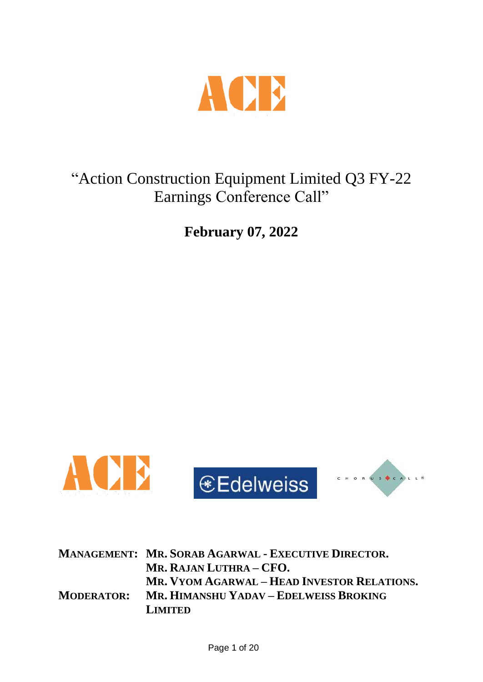

# "Action Construction Equipment Limited Q3 FY-22 Earnings Conference Call"

**February 07, 2022**



|                   | <b>MANAGEMENT: MR. SORAB AGARWAL - EXECUTIVE DIRECTOR.</b> |
|-------------------|------------------------------------------------------------|
|                   | MR. RAJAN LUTHRA – CFO.                                    |
|                   | MR. VYOM AGARWAL – HEAD INVESTOR RELATIONS.                |
| <b>MODERATOR:</b> | MR. HIMANSHU YADAV – EDELWEISS BROKING                     |
|                   | <b>LIMITED</b>                                             |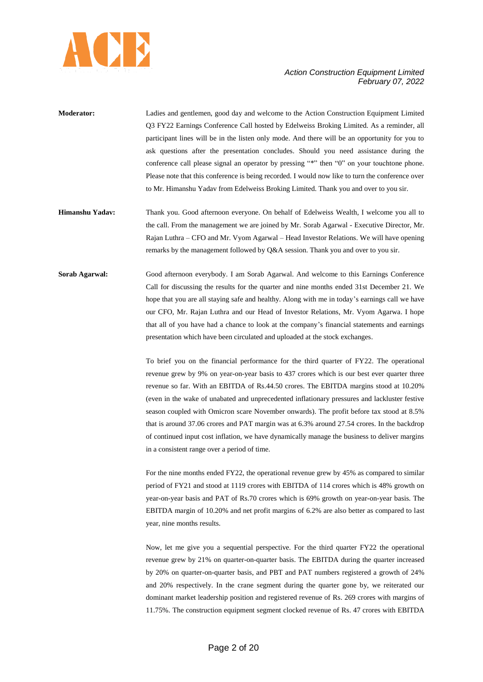

- **Moderator:** Ladies and gentlemen, good day and welcome to the Action Construction Equipment Limited Q3 FY22 Earnings Conference Call hosted by Edelweiss Broking Limited. As a reminder, all participant lines will be in the listen only mode. And there will be an opportunity for you to ask questions after the presentation concludes. Should you need assistance during the conference call please signal an operator by pressing "\*" then "0" on your touchtone phone. Please note that this conference is being recorded. I would now like to turn the conference over to Mr. Himanshu Yadav from Edelweiss Broking Limited. Thank you and over to you sir.
- **Himanshu Yadav:** Thank you. Good afternoon everyone. On behalf of Edelweiss Wealth, I welcome you all to the call. From the management we are joined by Mr. Sorab Agarwal - Executive Director, Mr. Rajan Luthra – CFO and Mr. Vyom Agarwal – Head Investor Relations. We will have opening remarks by the management followed by Q&A session. Thank you and over to you sir.
- **Sorab Agarwal:** Good afternoon everybody. I am Sorab Agarwal. And welcome to this Earnings Conference Call for discussing the results for the quarter and nine months ended 31st December 21. We hope that you are all staying safe and healthy. Along with me in today's earnings call we have our CFO, Mr. Rajan Luthra and our Head of Investor Relations, Mr. Vyom Agarwa. I hope that all of you have had a chance to look at the company's financial statements and earnings presentation which have been circulated and uploaded at the stock exchanges.

To brief you on the financial performance for the third quarter of FY22. The operational revenue grew by 9% on year-on-year basis to 437 crores which is our best ever quarter three revenue so far. With an EBITDA of Rs.44.50 crores. The EBITDA margins stood at 10.20% (even in the wake of unabated and unprecedented inflationary pressures and lackluster festive season coupled with Omicron scare November onwards). The profit before tax stood at 8.5% that is around 37.06 crores and PAT margin was at 6.3% around 27.54 crores. In the backdrop of continued input cost inflation, we have dynamically manage the business to deliver margins in a consistent range over a period of time.

For the nine months ended FY22, the operational revenue grew by 45% as compared to similar period of FY21 and stood at 1119 crores with EBITDA of 114 crores which is 48% growth on year-on-year basis and PAT of Rs.70 crores which is 69% growth on year-on-year basis. The EBITDA margin of 10.20% and net profit margins of 6.2% are also better as compared to last year, nine months results.

Now, let me give you a sequential perspective. For the third quarter FY22 the operational revenue grew by 21% on quarter-on-quarter basis. The EBITDA during the quarter increased by 20% on quarter-on-quarter basis, and PBT and PAT numbers registered a growth of 24% and 20% respectively. In the crane segment during the quarter gone by, we reiterated our dominant market leadership position and registered revenue of Rs. 269 crores with margins of 11.75%. The construction equipment segment clocked revenue of Rs. 47 crores with EBITDA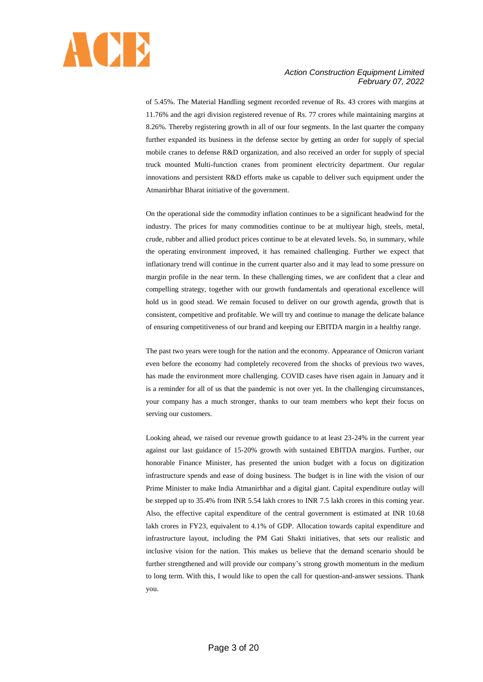

of 5.45%. The Material Handling segment recorded revenue of Rs. 43 crores with margins at 11.76% and the agri division registered revenue of Rs. 77 crores while maintaining margins at 8.26%. Thereby registering growth in all of our four segments. In the last quarter the company further expanded its business in the defense sector by getting an order for supply of special mobile cranes to defense R&D organization, and also received an order for supply of special truck mounted Multi-function cranes from prominent electricity department. Our regular innovations and persistent R&D efforts make us capable to deliver such equipment under the Atmanirbhar Bharat initiative of the government.

On the operational side the commodity inflation continues to be a significant headwind for the industry. The prices for many commodities continue to be at multiyear high, steels, metal, crude, rubber and allied product prices continue to be at elevated levels. So, in summary, while the operating environment improved, it has remained challenging. Further we expect that inflationary trend will continue in the current quarter also and it may lead to some pressure on margin profile in the near term. In these challenging times, we are confident that a clear and compelling strategy, together with our growth fundamentals and operational excellence will hold us in good stead. We remain focused to deliver on our growth agenda, growth that is consistent, competitive and profitable. We will try and continue to manage the delicate balance of ensuring competitiveness of our brand and keeping our EBITDA margin in a healthy range.

The past two years were tough for the nation and the economy. Appearance of Omicron variant even before the economy had completely recovered from the shocks of previous two waves, has made the environment more challenging. COVID cases have risen again in January and it is a reminder for all of us that the pandemic is not over yet. In the challenging circumstances, your company has a much stronger, thanks to our team members who kept their focus on serving our customers.

Looking ahead, we raised our revenue growth guidance to at least 23-24% in the current year against our last guidance of 15-20% growth with sustained EBITDA margins. Further, our honorable Finance Minister, has presented the union budget with a focus on digitization infrastructure spends and ease of doing business. The budget is in line with the vision of our Prime Minister to make India Atmanirbhar and a digital giant. Capital expenditure outlay will be stepped up to 35.4% from INR 5.54 lakh crores to INR 7.5 lakh crores in this coming year. Also, the effective capital expenditure of the central government is estimated at INR 10.68 lakh crores in FY23, equivalent to 4.1% of GDP. Allocation towards capital expenditure and infrastructure layout, including the PM Gati Shakti initiatives, that sets our realistic and inclusive vision for the nation. This makes us believe that the demand scenario should be further strengthened and will provide our company's strong growth momentum in the medium to long term. With this, I would like to open the call for question-and-answer sessions. Thank you.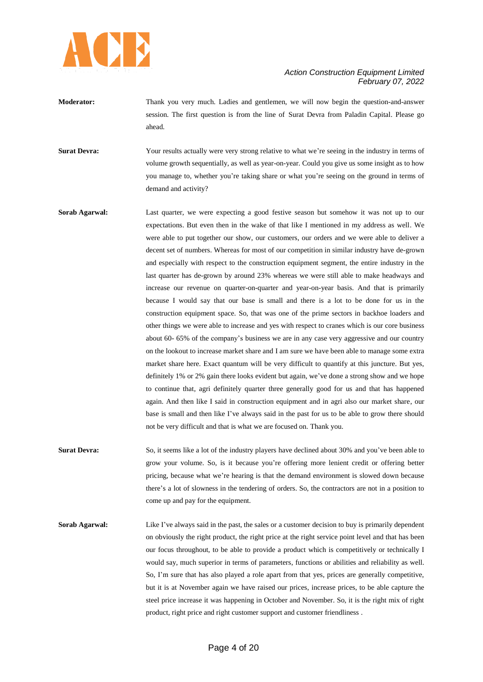

- **Moderator:** Thank you very much. Ladies and gentlemen, we will now begin the question-and-answer session. The first question is from the line of Surat Devra from Paladin Capital. Please go ahead.
- **Surat Devra:** Your results actually were very strong relative to what we're seeing in the industry in terms of volume growth sequentially, as well as year-on-year. Could you give us some insight as to how you manage to, whether you're taking share or what you're seeing on the ground in terms of demand and activity?
- **Sorab Agarwal:** Last quarter, we were expecting a good festive season but somehow it was not up to our expectations. But even then in the wake of that like I mentioned in my address as well. We were able to put together our show, our customers, our orders and we were able to deliver a decent set of numbers. Whereas for most of our competition in similar industry have de-grown and especially with respect to the construction equipment segment, the entire industry in the last quarter has de-grown by around 23% whereas we were still able to make headways and increase our revenue on quarter-on-quarter and year-on-year basis. And that is primarily because I would say that our base is small and there is a lot to be done for us in the construction equipment space. So, that was one of the prime sectors in backhoe loaders and other things we were able to increase and yes with respect to cranes which is our core business about 60- 65% of the company's business we are in any case very aggressive and our country on the lookout to increase market share and I am sure we have been able to manage some extra market share here. Exact quantum will be very difficult to quantify at this juncture. But yes, definitely 1% or 2% gain there looks evident but again, we've done a strong show and we hope to continue that, agri definitely quarter three generally good for us and that has happened again. And then like I said in construction equipment and in agri also our market share, our base is small and then like I've always said in the past for us to be able to grow there should not be very difficult and that is what we are focused on. Thank you.
- **Surat Devra:** So, it seems like a lot of the industry players have declined about 30% and you've been able to grow your volume. So, is it because you're offering more lenient credit or offering better pricing, because what we're hearing is that the demand environment is slowed down because there's a lot of slowness in the tendering of orders. So, the contractors are not in a position to come up and pay for the equipment.
- **Sorab Agarwal:** Like I've always said in the past, the sales or a customer decision to buy is primarily dependent on obviously the right product, the right price at the right service point level and that has been our focus throughout, to be able to provide a product which is competitively or technically I would say, much superior in terms of parameters, functions or abilities and reliability as well. So, I'm sure that has also played a role apart from that yes, prices are generally competitive, but it is at November again we have raised our prices, increase prices, to be able capture the steel price increase it was happening in October and November. So, it is the right mix of right product, right price and right customer support and customer friendliness .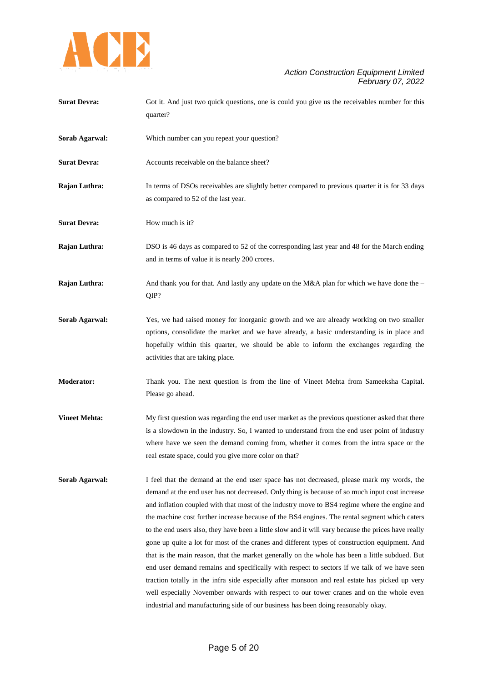

| <b>Surat Devra:</b> | Got it. And just two quick questions, one is could you give us the receivables number for this |
|---------------------|------------------------------------------------------------------------------------------------|
|                     | quarter?                                                                                       |
|                     |                                                                                                |

- **Sorab Agarwal:** Which number can you repeat your question?
- **Surat Devra:** Accounts receivable on the balance sheet?

**Rajan Luthra:** In terms of DSOs receivables are slightly better compared to previous quarter it is for 33 days as compared to 52 of the last year.

**Surat Devra:** How much is it?

**Rajan Luthra:** DSO is 46 days as compared to 52 of the corresponding last year and 48 for the March ending and in terms of value it is nearly 200 crores.

**Rajan Luthra:** And thank you for that. And lastly any update on the M&A plan for which we have done the **–** QIP?

- **Sorab Agarwal:** Yes, we had raised money for inorganic growth and we are already working on two smaller options, consolidate the market and we have already, a basic understanding is in place and hopefully within this quarter, we should be able to inform the exchanges regarding the activities that are taking place.
- **Moderator:** Thank you. The next question is from the line of Vineet Mehta from Sameeksha Capital. Please go ahead.
- **Vineet Mehta:** My first question was regarding the end user market as the previous questioner asked that there is a slowdown in the industry. So, I wanted to understand from the end user point of industry where have we seen the demand coming from, whether it comes from the intra space or the real estate space, could you give more color on that?
- **Sorab Agarwal:** I feel that the demand at the end user space has not decreased, please mark my words, the demand at the end user has not decreased. Only thing is because of so much input cost increase and inflation coupled with that most of the industry move to BS4 regime where the engine and the machine cost further increase because of the BS4 engines. The rental segment which caters to the end users also, they have been a little slow and it will vary because the prices have really gone up quite a lot for most of the cranes and different types of construction equipment. And that is the main reason, that the market generally on the whole has been a little subdued. But end user demand remains and specifically with respect to sectors if we talk of we have seen traction totally in the infra side especially after monsoon and real estate has picked up very well especially November onwards with respect to our tower cranes and on the whole even industrial and manufacturing side of our business has been doing reasonably okay.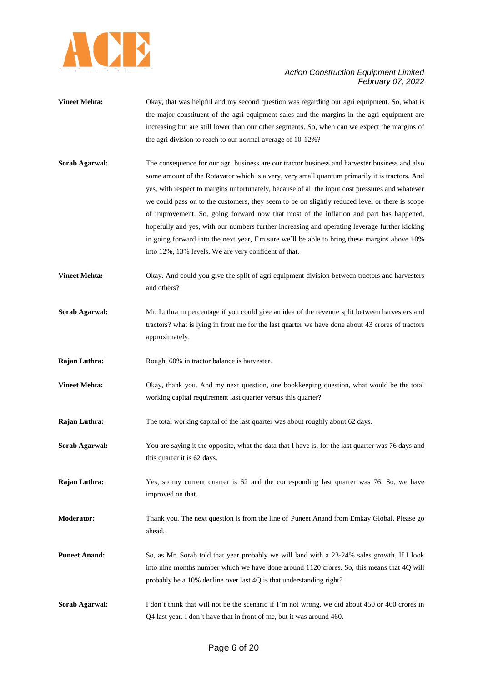

- **Vineet Mehta:** Okay, that was helpful and my second question was regarding our agri equipment. So, what is the major constituent of the agri equipment sales and the margins in the agri equipment are increasing but are still lower than our other segments. So, when can we expect the margins of the agri division to reach to our normal average of 10-12%?
- **Sorab Agarwal:** The consequence for our agri business are our tractor business and harvester business and also some amount of the Rotavator which is a very, very small quantum primarily it is tractors. And yes, with respect to margins unfortunately, because of all the input cost pressures and whatever we could pass on to the customers, they seem to be on slightly reduced level or there is scope of improvement. So, going forward now that most of the inflation and part has happened, hopefully and yes, with our numbers further increasing and operating leverage further kicking in going forward into the next year, I'm sure we'll be able to bring these margins above 10% into 12%, 13% levels. We are very confident of that.
- **Vineet Mehta:** Okay. And could you give the split of agri equipment division between tractors and harvesters and others?
- **Sorab Agarwal:** Mr. Luthra in percentage if you could give an idea of the revenue split between harvesters and tractors? what is lying in front me for the last quarter we have done about 43 crores of tractors approximately.
- **Rajan Luthra:** Rough, 60% in tractor balance is harvester.
- **Vineet Mehta:** Okay, thank you. And my next question, one bookkeeping question, what would be the total working capital requirement last quarter versus this quarter?
- **Rajan Luthra:** The total working capital of the last quarter was about roughly about 62 days.
- **Sorab Agarwal:** You are saying it the opposite, what the data that I have is, for the last quarter was 76 days and this quarter it is 62 days.
- **Rajan Luthra:** Yes, so my current quarter is 62 and the corresponding last quarter was 76. So, we have improved on that.
- **Moderator:** Thank you. The next question is from the line of Puneet Anand from Emkay Global. Please go ahead.
- **Puneet Anand:** So, as Mr. Sorab told that year probably we will land with a 23-24% sales growth. If I look into nine months number which we have done around 1120 crores. So, this means that 4Q will probably be a 10% decline over last 4Q is that understanding right?
- **Sorab Agarwal:** I don't think that will not be the scenario if I'm not wrong, we did about 450 or 460 crores in Q4 last year. I don't have that in front of me, but it was around 460.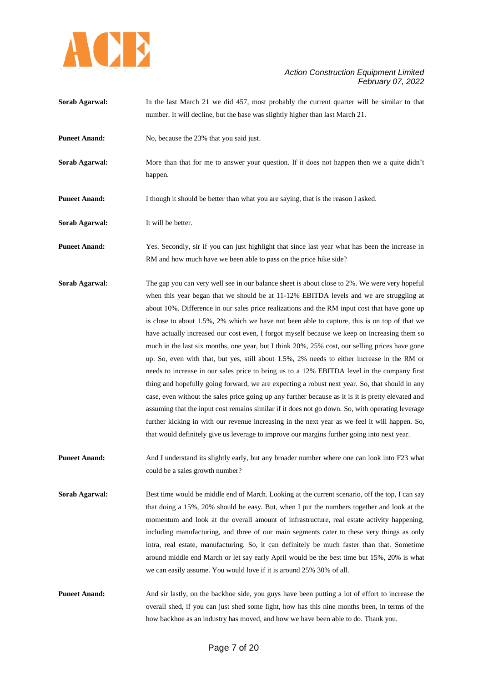

- **Sorab Agarwal:** In the last March 21 we did 457, most probably the current quarter will be similar to that number. It will decline, but the base was slightly higher than last March 21.
- **Puneet Anand:** No, because the 23% that you said just.
- **Sorab Agarwal:** More than that for me to answer your question. If it does not happen then we a quite didn't happen.
- **Puneet Anand:** I though it should be better than what you are saying, that is the reason I asked.
- **Sorab Agarwal:** It will be better.

**Puneet Anand:** Yes. Secondly, sir if you can just highlight that since last year what has been the increase in RM and how much have we been able to pass on the price hike side?

- **Sorab Agarwal:** The gap you can very well see in our balance sheet is about close to 2%. We were very hopeful when this year began that we should be at 11-12% EBITDA levels and we are struggling at about 10%. Difference in our sales price realizations and the RM input cost that have gone up is close to about 1.5%, 2% which we have not been able to capture, this is on top of that we have actually increased our cost even, I forgot myself because we keep on increasing them so much in the last six months, one year, but I think 20%, 25% cost, our selling prices have gone up. So, even with that, but yes, still about 1.5%, 2% needs to either increase in the RM or needs to increase in our sales price to bring us to a 12% EBITDA level in the company first thing and hopefully going forward, we are expecting a robust next year. So, that should in any case, even without the sales price going up any further because as it is it is pretty elevated and assuming that the input cost remains similar if it does not go down. So, with operating leverage further kicking in with our revenue increasing in the next year as we feel it will happen. So, that would definitely give us leverage to improve our margins further going into next year.
- **Puneet Anand:** And I understand its slightly early, but any broader number where one can look into F23 what could be a sales growth number?
- **Sorab Agarwal:** Best time would be middle end of March. Looking at the current scenario, off the top, I can say that doing a 15%, 20% should be easy. But, when I put the numbers together and look at the momentum and look at the overall amount of infrastructure, real estate activity happening, including manufacturing, and three of our main segments cater to these very things as only intra, real estate, manufacturing. So, it can definitely be much faster than that. Sometime around middle end March or let say early April would be the best time but 15%, 20% is what we can easily assume. You would love if it is around 25% 30% of all.
- **Puneet Anand:** And sir lastly, on the backhoe side, you guys have been putting a lot of effort to increase the overall shed, if you can just shed some light, how has this nine months been, in terms of the how backhoe as an industry has moved, and how we have been able to do. Thank you.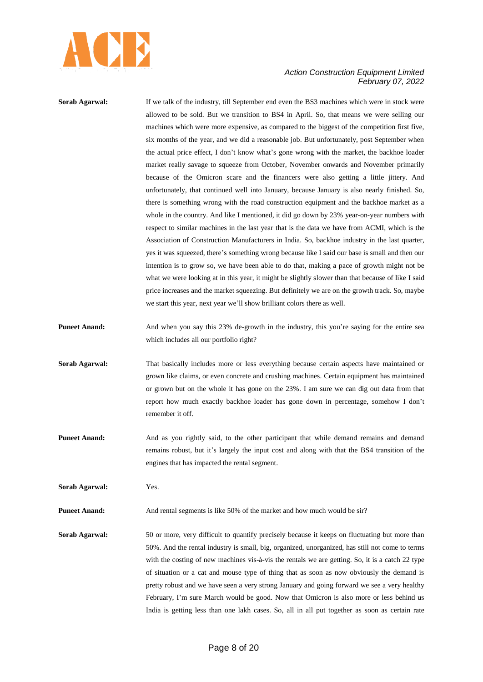

**Sorab Agarwal:** If we talk of the industry, till September end even the BS3 machines which were in stock were allowed to be sold. But we transition to BS4 in April. So, that means we were selling our machines which were more expensive, as compared to the biggest of the competition first five, six months of the year, and we did a reasonable job. But unfortunately, post September when the actual price effect, I don't know what's gone wrong with the market, the backhoe loader market really savage to squeeze from October, November onwards and November primarily because of the Omicron scare and the financers were also getting a little jittery. And unfortunately, that continued well into January, because January is also nearly finished. So, there is something wrong with the road construction equipment and the backhoe market as a whole in the country. And like I mentioned, it did go down by 23% year-on-year numbers with respect to similar machines in the last year that is the data we have from ACMI, which is the Association of Construction Manufacturers in India. So, backhoe industry in the last quarter, yes it was squeezed, there's something wrong because like I said our base is small and then our intention is to grow so, we have been able to do that, making a pace of growth might not be what we were looking at in this year, it might be slightly slower than that because of like I said price increases and the market squeezing. But definitely we are on the growth track. So, maybe we start this year, next year we'll show brilliant colors there as well.

- **Puneet Anand:** And when you say this 23% de-growth in the industry, this you're saying for the entire sea which includes all our portfolio right?
- **Sorab Agarwal:** That basically includes more or less everything because certain aspects have maintained or grown like claims, or even concrete and crushing machines. Certain equipment has maintained or grown but on the whole it has gone on the 23%. I am sure we can dig out data from that report how much exactly backhoe loader has gone down in percentage, somehow I don't remember it off.
- **Puneet Anand:** And as you rightly said, to the other participant that while demand remains and demand remains robust, but it's largely the input cost and along with that the BS4 transition of the engines that has impacted the rental segment.

**Sorab Agarwal:** Yes.

**Puneet Anand:** And rental segments is like 50% of the market and how much would be sir?

**Sorab Agarwal:** 50 or more, very difficult to quantify precisely because it keeps on fluctuating but more than 50%. And the rental industry is small, big, organized, unorganized, has still not come to terms with the costing of new machines vis-à-vis the rentals we are getting. So, it is a catch 22 type of situation or a cat and mouse type of thing that as soon as now obviously the demand is pretty robust and we have seen a very strong January and going forward we see a very healthy February, I'm sure March would be good. Now that Omicron is also more or less behind us India is getting less than one lakh cases. So, all in all put together as soon as certain rate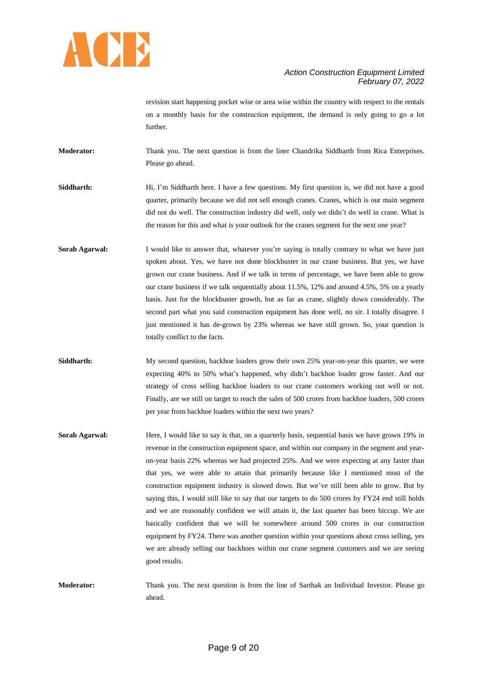

revision start happening pocket wise or area wise within the country with respect to the rentals on a monthly basis for the construction equipment, the demand is only going to go a lot further.

**Moderator:** Thank you. The next question is from the liner Chandrika Siddharth from Rica Enterprises. Please go ahead.

- **Siddharth:** Hi, I'm Siddharth here. I have a few questions. My first question is, we did not have a good quarter, primarily because we did not sell enough cranes. Cranes, which is our main segment did not do well. The construction industry did well, only we didn't do well in crane. What is the reason for this and what is your outlook for the cranes segment for the next one year?
- **Sorab Agarwal:** I would like to answer that, whatever you're saying is totally contrary to what we have just spoken about. Yes, we have not done blockbuster in our crane business. But yes, we have grown our crane business. And if we talk in terms of percentage, we have been able to grow our crane business if we talk sequentially about 11.5%, 12% and around 4.5%, 5% on a yearly basis. Just for the blockbuster growth, but as far as crane, slightly down considerably. The second part what you said construction equipment has done well, no sir. I totally disagree. I just mentioned it has de-grown by 23% whereas we have still grown. So, your question is totally conflict to the facts.
- **Siddharth:** My second question, backhoe loaders grow their own 25% year-on-year this quarter, we were expecting 40% to 50% what's happened, why didn't backhoe loader grow faster. And our strategy of cross selling backhoe loaders to our crane customers working out well or not. Finally, are we still on target to reach the sales of 500 crores from backhoe loaders, 500 crores per year from backhoe loaders within the next two years?
- **Sorab Agarwal:** Here, I would like to say is that, on a quarterly basis, sequential basis we have grown 19% in revenue in the construction equipment space, and within our company in the segment and yearon-year basis 22% whereas we had projected 25%. And we were expecting at any faster than that yes, we were able to attain that primarily because like I mentioned most of the construction equipment industry is slowed down. But we've still been able to grow. But by saying this, I would still like to say that our targets to do 500 crores by FY24 end still holds and we are reasonably confident we will attain it, the last quarter has been hiccup. We are basically confident that we will be somewhere around 500 crores in our construction equipment by FY24. There was another question within your questions about cross selling, yes we are already selling our backhoes within our crane segment customers and we are seeing good results.
- **Moderator:** Thank you. The next question is from the line of Sarthak an Individual Investor. Please go ahead.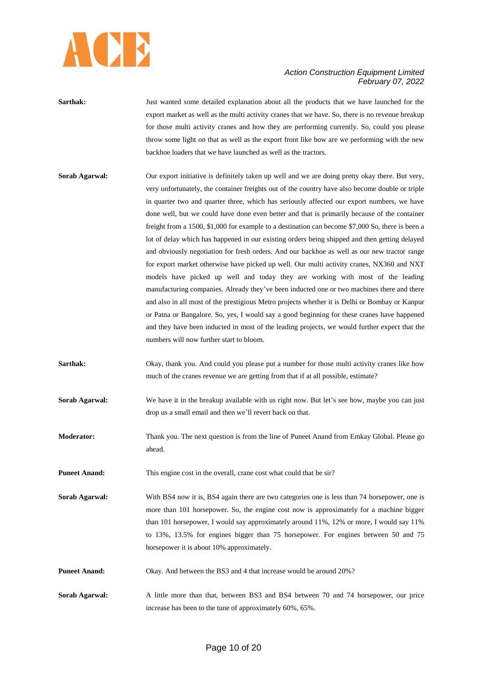

| Sarthak: | Just wanted some detailed explanation about all the products that we have launched for the       |
|----------|--------------------------------------------------------------------------------------------------|
|          | export market as well as the multi activity cranes that we have. So, there is no revenue breakup |
|          | for those multi activity cranes and how they are performing currently. So, could you please      |
|          | throw some light on that as well as the export front like how are we performing with the new     |
|          | backhoe loaders that we have launched as well as the tractors.                                   |

- **Sorab Agarwal:** Our export initiative is definitely taken up well and we are doing pretty okay there. But very, very unfortunately, the container freights out of the country have also become double or triple in quarter two and quarter three, which has seriously affected our export numbers, we have done well, but we could have done even better and that is primarily because of the container freight from a 1500, \$1,000 for example to a destination can become \$7,000 So, there is been a lot of delay which has happened in our existing orders being shipped and then getting delayed and obviously negotiation for fresh orders. And our backhoe as well as our new tractor range for export market otherwise have picked up well. Our multi activity cranes, NX360 and NXT models have picked up well and today they are working with most of the leading manufacturing companies. Already they've been inducted one or two machines there and there and also in all most of the prestigious Metro projects whether it is Delhi or Bombay or Kanpur or Patna or Bangalore. So, yes, I would say a good beginning for these cranes have happened and they have been inducted in most of the leading projects, we would further expect that the numbers will now further start to bloom.
- **Sarthak:** Okay, thank you. And could you please put a number for those multi activity cranes like how much of the cranes revenue we are getting from that if at all possible, estimate?
- **Sorab Agarwal:** We have it in the breakup available with us right now. But let's see how, maybe you can just drop us a small email and then we'll revert back on that.

**Moderator:** Thank you. The next question is from the line of Puneet Anand from Emkay Global. Please go ahead.

**Puneet Anand:** This engine cost in the overall, crane cost what could that be sir?

**Sorab Agarwal:** With BS4 now it is, BS4 again there are two categories one is less than 74 horsepower, one is more than 101 horsepower. So, the engine cost now is approximately for a machine bigger than 101 horsepower, I would say approximately around 11%, 12% or more, I would say 11% to 13%, 13.5% for engines bigger than 75 horsepower. For engines between 50 and 75 horsepower it is about 10% approximately.

**Puneet Anand:** Okay. And between the BS3 and 4 that increase would be around 20%?

**Sorab Agarwal:** A little more than that, between BS3 and BS4 between 70 and 74 horsepower, our price increase has been to the tune of approximately 60%, 65%.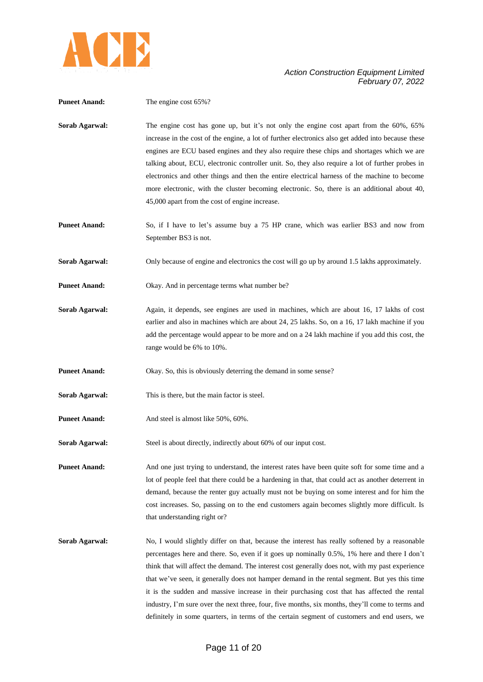

| <b>Puneet Anand:</b> | The engine cost 65%?                                                                                                                                                                                                                                                                                                                                                                                                                                                                                                                                                                                                                                                                                 |
|----------------------|------------------------------------------------------------------------------------------------------------------------------------------------------------------------------------------------------------------------------------------------------------------------------------------------------------------------------------------------------------------------------------------------------------------------------------------------------------------------------------------------------------------------------------------------------------------------------------------------------------------------------------------------------------------------------------------------------|
| Sorab Agarwal:       | The engine cost has gone up, but it's not only the engine cost apart from the 60%, 65%<br>increase in the cost of the engine, a lot of further electronics also get added into because these<br>engines are ECU based engines and they also require these chips and shortages which we are<br>talking about, ECU, electronic controller unit. So, they also require a lot of further probes in<br>electronics and other things and then the entire electrical harness of the machine to become<br>more electronic, with the cluster becoming electronic. So, there is an additional about 40,<br>45,000 apart from the cost of engine increase.                                                      |
| <b>Puneet Anand:</b> | So, if I have to let's assume buy a 75 HP crane, which was earlier BS3 and now from<br>September BS3 is not.                                                                                                                                                                                                                                                                                                                                                                                                                                                                                                                                                                                         |
| Sorab Agarwal:       | Only because of engine and electronics the cost will go up by around 1.5 lakhs approximately.                                                                                                                                                                                                                                                                                                                                                                                                                                                                                                                                                                                                        |
| <b>Puneet Anand:</b> | Okay. And in percentage terms what number be?                                                                                                                                                                                                                                                                                                                                                                                                                                                                                                                                                                                                                                                        |
| Sorab Agarwal:       | Again, it depends, see engines are used in machines, which are about 16, 17 lakhs of cost<br>earlier and also in machines which are about 24, 25 lakhs. So, on a 16, 17 lakh machine if you<br>add the percentage would appear to be more and on a 24 lakh machine if you add this cost, the<br>range would be 6% to 10%.                                                                                                                                                                                                                                                                                                                                                                            |
| <b>Puneet Anand:</b> | Okay. So, this is obviously deterring the demand in some sense?                                                                                                                                                                                                                                                                                                                                                                                                                                                                                                                                                                                                                                      |
| Sorab Agarwal:       | This is there, but the main factor is steel.                                                                                                                                                                                                                                                                                                                                                                                                                                                                                                                                                                                                                                                         |
| <b>Puneet Anand:</b> | And steel is almost like 50%, 60%.                                                                                                                                                                                                                                                                                                                                                                                                                                                                                                                                                                                                                                                                   |
| Sorab Agarwal:       | Steel is about directly, indirectly about 60% of our input cost.                                                                                                                                                                                                                                                                                                                                                                                                                                                                                                                                                                                                                                     |
| <b>Puneet Anand:</b> | And one just trying to understand, the interest rates have been quite soft for some time and a<br>lot of people feel that there could be a hardening in that, that could act as another deterrent in<br>demand, because the renter guy actually must not be buying on some interest and for him the<br>cost increases. So, passing on to the end customers again becomes slightly more difficult. Is<br>that understanding right or?                                                                                                                                                                                                                                                                 |
| Sorab Agarwal:       | No, I would slightly differ on that, because the interest has really softened by a reasonable<br>percentages here and there. So, even if it goes up nominally 0.5%, 1% here and there I don't<br>think that will affect the demand. The interest cost generally does not, with my past experience<br>that we've seen, it generally does not hamper demand in the rental segment. But yes this time<br>it is the sudden and massive increase in their purchasing cost that has affected the rental<br>industry, I'm sure over the next three, four, five months, six months, they'll come to terms and<br>definitely in some quarters, in terms of the certain segment of customers and end users, we |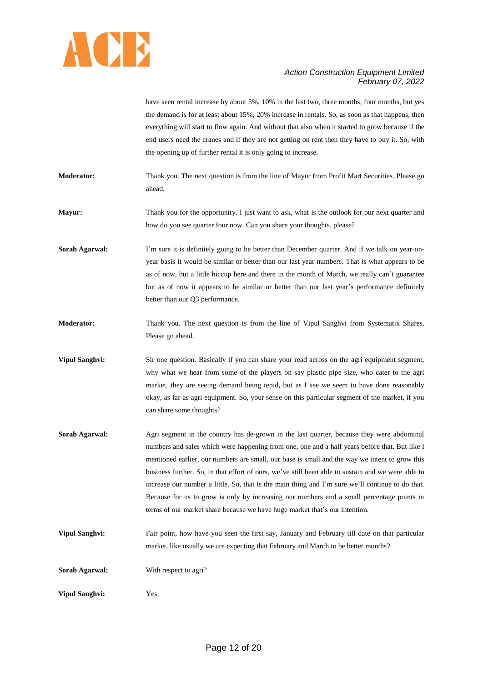

have seen rental increase by about 5%, 10% in the last two, three months, four months, but yes the demand is for at least about 15%, 20% increase in rentals. So, as soon as that happens, then everything will start to flow again. And without that also when it started to grow because if the end users need the cranes and if they are not getting on rent then they have to buy it. So, with the opening up of further rental it is only going to increase.

**Moderator:** Thank you. The next question is from the line of Mayur from Profit Mart Securities. Please go ahead.

**Mayur:** Thank you for the opportunity. I just want to ask, what is the outlook for our next quarter and how do you see quarter four now. Can you share your thoughts, please?

**Sorab Agarwal:** I'm sure it is definitely going to be better than December quarter. And if we talk on year-onyear basis it would be similar or better than our last year numbers. That is what appears to be as of now, but a little hiccup here and there in the month of March, we really can't guarantee but as of now it appears to be similar or better than our last year's performance definitely better than our Q3 performance.

**Moderator:** Thank you. The next question is from the line of Vipul Sanghvi from Systematix Shares. Please go ahead.

**Vipul Sanghvi:** Sir one question. Basically if you can share your read across on the agri equipment segment, why what we hear from some of the players on say plastic pipe size, who cater to the agri market, they are seeing demand being tepid, but as I see we seem to have done reasonably okay, as far as agri equipment. So, your sense on this particular segment of the market, if you can share some thoughts?

- **Sorab Agarwal:** Agri segment in the country has de-grown in the last quarter, because they were abdominal numbers and sales which were happening from one, one and a half years before that. But like I mentioned earlier, our numbers are small, our base is small and the way we intent to grow this business further. So, in that effort of ours, we've still been able to sustain and we were able to increase our number a little. So, that is the main thing and I'm sure we'll continue to do that. Because for us to grow is only by increasing our numbers and a small percentage points in terms of our market share because we have huge market that's our intention.
- **Vipul Sanghvi:** Fair point, how have you seen the first say, January and February till date on that particular market, like usually we are expecting that February and March to be better months?

**Sorab Agarwal:** With respect to agri?

**Vipul Sanghvi:** Yes.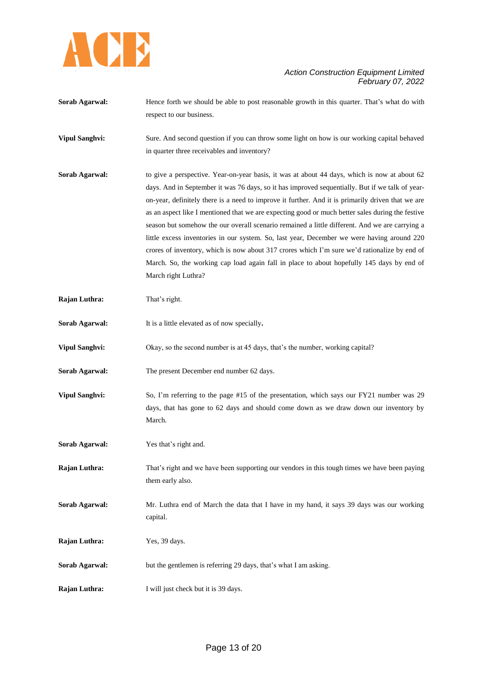

- **Sorab Agarwal:** Hence forth we should be able to post reasonable growth in this quarter. That's what do with respect to our business.
- **Vipul Sanghvi:** Sure. And second question if you can throw some light on how is our working capital behaved in quarter three receivables and inventory?
- **Sorab Agarwal:** to give a perspective. Year-on-year basis, it was at about 44 days, which is now at about 62 days. And in September it was 76 days, so it has improved sequentially. But if we talk of yearon-year, definitely there is a need to improve it further. And it is primarily driven that we are as an aspect like I mentioned that we are expecting good or much better sales during the festive season but somehow the our overall scenario remained a little different. And we are carrying a little excess inventories in our system. So, last year, December we were having around 220 crores of inventory, which is now about 317 crores which I'm sure we'd rationalize by end of March. So, the working cap load again fall in place to about hopefully 145 days by end of March right Luthra?
- **Rajan Luthra:** That's right.
- **Sorab Agarwal:** It is a little elevated as of now specially**.**
- **Vipul Sanghvi:** Okay, so the second number is at 45 days, that's the number, working capital?
- **Sorab Agarwal:** The present December end number 62 days.
- **Vipul Sanghvi:** So, I'm referring to the page #15 of the presentation, which says our FY21 number was 29 days, that has gone to 62 days and should come down as we draw down our inventory by March.
- **Sorab Agarwal:** Yes that's right and.
- **Rajan Luthra:** That's right and we have been supporting our vendors in this tough times we have been paying them early also.
- **Sorab Agarwal:** Mr. Luthra end of March the data that I have in my hand, it says 39 days was our working capital.
- **Rajan Luthra:** Yes, 39 days.
- **Sorab Agarwal:** but the gentlemen is referring 29 days, that's what I am asking.
- **Rajan Luthra:** I will just check but it is 39 days.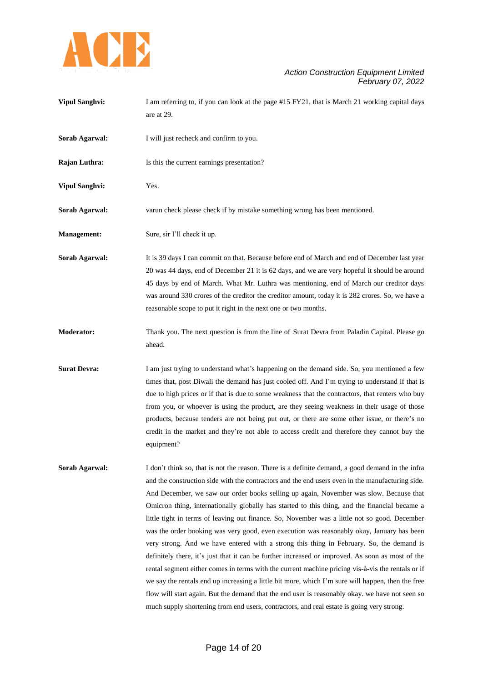

| <b>Vipul Sanghvi:</b> | I am referring to, if you can look at the page #15 FY21, that is March 21 working capital days<br>are at 29.                                                                                                                                                                                                                                                                                                                                                                                                                                                                                                                                                                                                                                                                                                                                                                                                                                                                                                                                                                                                                                                                                            |
|-----------------------|---------------------------------------------------------------------------------------------------------------------------------------------------------------------------------------------------------------------------------------------------------------------------------------------------------------------------------------------------------------------------------------------------------------------------------------------------------------------------------------------------------------------------------------------------------------------------------------------------------------------------------------------------------------------------------------------------------------------------------------------------------------------------------------------------------------------------------------------------------------------------------------------------------------------------------------------------------------------------------------------------------------------------------------------------------------------------------------------------------------------------------------------------------------------------------------------------------|
| Sorab Agarwal:        | I will just recheck and confirm to you.                                                                                                                                                                                                                                                                                                                                                                                                                                                                                                                                                                                                                                                                                                                                                                                                                                                                                                                                                                                                                                                                                                                                                                 |
| Rajan Luthra:         | Is this the current earnings presentation?                                                                                                                                                                                                                                                                                                                                                                                                                                                                                                                                                                                                                                                                                                                                                                                                                                                                                                                                                                                                                                                                                                                                                              |
| <b>Vipul Sanghvi:</b> | Yes.                                                                                                                                                                                                                                                                                                                                                                                                                                                                                                                                                                                                                                                                                                                                                                                                                                                                                                                                                                                                                                                                                                                                                                                                    |
| Sorab Agarwal:        | varun check please check if by mistake something wrong has been mentioned.                                                                                                                                                                                                                                                                                                                                                                                                                                                                                                                                                                                                                                                                                                                                                                                                                                                                                                                                                                                                                                                                                                                              |
| <b>Management:</b>    | Sure, sir I'll check it up.                                                                                                                                                                                                                                                                                                                                                                                                                                                                                                                                                                                                                                                                                                                                                                                                                                                                                                                                                                                                                                                                                                                                                                             |
| Sorab Agarwal:        | It is 39 days I can commit on that. Because before end of March and end of December last year<br>20 was 44 days, end of December 21 it is 62 days, and we are very hopeful it should be around<br>45 days by end of March. What Mr. Luthra was mentioning, end of March our creditor days<br>was around 330 crores of the creditor the creditor amount, today it is 282 crores. So, we have a<br>reasonable scope to put it right in the next one or two months.                                                                                                                                                                                                                                                                                                                                                                                                                                                                                                                                                                                                                                                                                                                                        |
| <b>Moderator:</b>     | Thank you. The next question is from the line of Surat Devra from Paladin Capital. Please go<br>ahead.                                                                                                                                                                                                                                                                                                                                                                                                                                                                                                                                                                                                                                                                                                                                                                                                                                                                                                                                                                                                                                                                                                  |
| <b>Surat Devra:</b>   | I am just trying to understand what's happening on the demand side. So, you mentioned a few<br>times that, post Diwali the demand has just cooled off. And I'm trying to understand if that is<br>due to high prices or if that is due to some weakness that the contractors, that renters who buy<br>from you, or whoever is using the product, are they seeing weakness in their usage of those<br>products, because tenders are not being put out, or there are some other issue, or there's no<br>credit in the market and they're not able to access credit and therefore they cannot buy the<br>equipment?                                                                                                                                                                                                                                                                                                                                                                                                                                                                                                                                                                                        |
| Sorab Agarwal:        | I don't think so, that is not the reason. There is a definite demand, a good demand in the infra<br>and the construction side with the contractors and the end users even in the manufacturing side.<br>And December, we saw our order books selling up again, November was slow. Because that<br>Omicron thing, internationally globally has started to this thing, and the financial became a<br>little tight in terms of leaving out finance. So, November was a little not so good. December<br>was the order booking was very good, even execution was reasonably okay, January has been<br>very strong. And we have entered with a strong this thing in February. So, the demand is<br>definitely there, it's just that it can be further increased or improved. As soon as most of the<br>rental segment either comes in terms with the current machine pricing vis-à-vis the rentals or if<br>we say the rentals end up increasing a little bit more, which I'm sure will happen, then the free<br>flow will start again. But the demand that the end user is reasonably okay. we have not seen so<br>much supply shortening from end users, contractors, and real estate is going very strong. |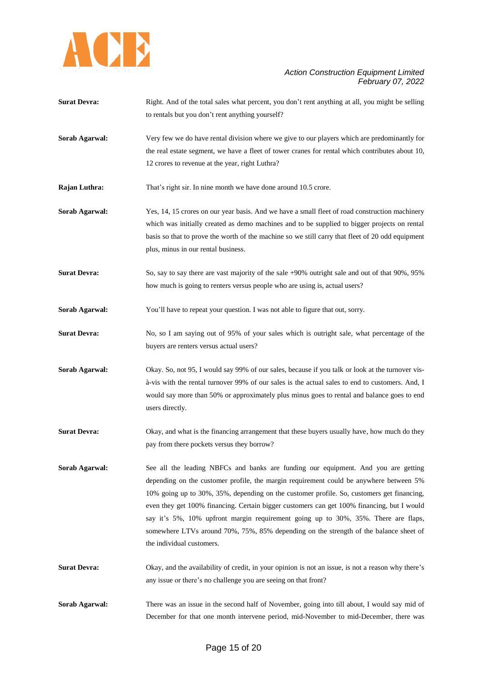

| <b>Surat Devra:</b> | Right. And of the total sales what percent, you don't rent anything at all, you might be selling |
|---------------------|--------------------------------------------------------------------------------------------------|
|                     | to rentals but you don't rent anything yourself?                                                 |
|                     |                                                                                                  |
| Sorab Agarwal:      | Very few we do have rental division where we give to our players which are predominantly for     |
|                     | the real estate segment, we have a fleet of tower cranes for rental which contributes about 10,  |
|                     | 12 crores to revenue at the year, right Luthra?                                                  |
| Rajan Luthra:       | That's right sir. In nine month we have done around 10.5 crore.                                  |
| Sorab Agarwal:      | Yes, 14, 15 crores on our year basis. And we have a small fleet of road construction machinery   |
|                     | which was initially created as demo machines and to be supplied to bigger projects on rental     |
|                     | basis so that to prove the worth of the machine so we still carry that fleet of 20 odd equipment |
|                     | plus, minus in our rental business.                                                              |
| <b>Surat Devra:</b> | So, say to say there are vast majority of the sale +90% outright sale and out of that 90%, 95%   |
|                     | how much is going to renters versus people who are using is, actual users?                       |
| Sorab Agarwal:      | You'll have to repeat your question. I was not able to figure that out, sorry.                   |
| <b>Surat Devra:</b> | No, so I am saying out of 95% of your sales which is outright sale, what percentage of the       |
|                     | buyers are renters versus actual users?                                                          |
| Sorab Agarwal:      | Okay. So, not 95, I would say 99% of our sales, because if you talk or look at the turnover vis- |
|                     | à-vis with the rental turnover 99% of our sales is the actual sales to end to customers. And, I  |
|                     | would say more than 50% or approximately plus minus goes to rental and balance goes to end       |
|                     | users directly.                                                                                  |
| <b>Surat Devra:</b> | Okay, and what is the financing arrangement that these buyers usually have, how much do they     |
|                     | pay from there pockets versus they borrow?                                                       |
| Sorab Agarwal:      | See all the leading NBFCs and banks are funding our equipment. And you are getting               |
|                     | depending on the customer profile, the margin requirement could be anywhere between 5%           |
|                     | 10% going up to 30%, 35%, depending on the customer profile. So, customers get financing,        |
|                     | even they get 100% financing. Certain bigger customers can get 100% financing, but I would       |
|                     | say it's 5%, 10% upfront margin requirement going up to 30%, 35%. There are flaps,               |
|                     | somewhere LTVs around 70%, 75%, 85% depending on the strength of the balance sheet of            |
|                     | the individual customers.                                                                        |
|                     |                                                                                                  |

**Surat Devra:** Okay, and the availability of credit, in your opinion is not an issue, is not a reason why there's any issue or there's no challenge you are seeing on that front?

**Sorab Agarwal:** There was an issue in the second half of November, going into till about, I would say mid of December for that one month intervene period, mid-November to mid-December, there was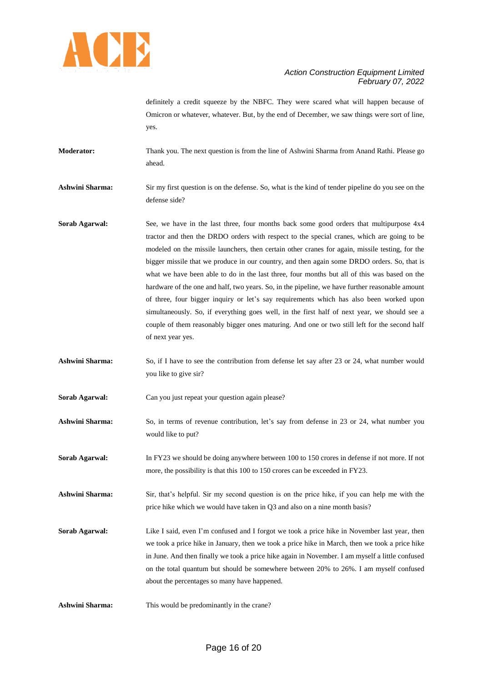

definitely a credit squeeze by the NBFC. They were scared what will happen because of Omicron or whatever, whatever. But, by the end of December, we saw things were sort of line, yes.

**Moderator:** Thank you. The next question is from the line of Ashwini Sharma from Anand Rathi. Please go ahead.

**Ashwini Sharma:** Sir my first question is on the defense. So, what is the kind of tender pipeline do you see on the defense side?

- **Sorab Agarwal:** See, we have in the last three, four months back some good orders that multipurpose 4x4 tractor and then the DRDO orders with respect to the special cranes, which are going to be modeled on the missile launchers, then certain other cranes for again, missile testing, for the bigger missile that we produce in our country, and then again some DRDO orders. So, that is what we have been able to do in the last three, four months but all of this was based on the hardware of the one and half, two years. So, in the pipeline, we have further reasonable amount of three, four bigger inquiry or let's say requirements which has also been worked upon simultaneously. So, if everything goes well, in the first half of next year, we should see a couple of them reasonably bigger ones maturing. And one or two still left for the second half of next year yes.
- **Ashwini Sharma:** So, if I have to see the contribution from defense let say after 23 or 24, what number would you like to give sir?
- **Sorab Agarwal:** Can you just repeat your question again please?
- **Ashwini Sharma:** So, in terms of revenue contribution, let's say from defense in 23 or 24, what number you would like to put?
- **Sorab Agarwal:** In FY23 we should be doing anywhere between 100 to 150 crores in defense if not more. If not more, the possibility is that this 100 to 150 crores can be exceeded in FY23.

**Ashwini Sharma:** Sir, that's helpful. Sir my second question is on the price hike, if you can help me with the price hike which we would have taken in Q3 and also on a nine month basis?

- **Sorab Agarwal:** Like I said, even I'm confused and I forgot we took a price hike in November last year, then we took a price hike in January, then we took a price hike in March, then we took a price hike in June. And then finally we took a price hike again in November. I am myself a little confused on the total quantum but should be somewhere between 20% to 26%. I am myself confused about the percentages so many have happened.
- **Ashwini Sharma:** This would be predominantly in the crane?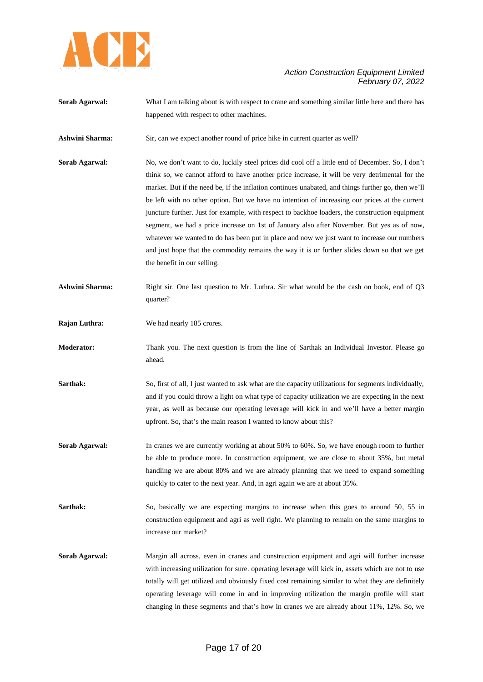

- **Sorab Agarwal:** What I am talking about is with respect to crane and something similar little here and there has happened with respect to other machines.
- **Ashwini Sharma:** Sir, can we expect another round of price hike in current quarter as well?
- **Sorab Agarwal:** No, we don't want to do, luckily steel prices did cool off a little end of December. So, I don't think so, we cannot afford to have another price increase, it will be very detrimental for the market. But if the need be, if the inflation continues unabated, and things further go, then we'll be left with no other option. But we have no intention of increasing our prices at the current juncture further. Just for example, with respect to backhoe loaders, the construction equipment segment, we had a price increase on 1st of January also after November. But yes as of now, whatever we wanted to do has been put in place and now we just want to increase our numbers and just hope that the commodity remains the way it is or further slides down so that we get the benefit in our selling.
- **Ashwini Sharma:** Right sir. One last question to Mr. Luthra. Sir what would be the cash on book, end of Q3 quarter?
- **Rajan Luthra:** We had nearly 185 crores.

**Moderator:** Thank you. The next question is from the line of Sarthak an Individual Investor. Please go ahead.

- **Sarthak:** So, first of all, I just wanted to ask what are the capacity utilizations for segments individually, and if you could throw a light on what type of capacity utilization we are expecting in the next year, as well as because our operating leverage will kick in and we'll have a better margin upfront. So, that's the main reason I wanted to know about this?
- **Sorab Agarwal:** In cranes we are currently working at about 50% to 60%. So, we have enough room to further be able to produce more. In construction equipment, we are close to about 35%, but metal handling we are about 80% and we are already planning that we need to expand something quickly to cater to the next year. And, in agri again we are at about 35%.
- Sarthak: So, basically we are expecting margins to increase when this goes to around 50, 55 in construction equipment and agri as well right. We planning to remain on the same margins to increase our market?
- **Sorab Agarwal:** Margin all across, even in cranes and construction equipment and agri will further increase with increasing utilization for sure. operating leverage will kick in, assets which are not to use totally will get utilized and obviously fixed cost remaining similar to what they are definitely operating leverage will come in and in improving utilization the margin profile will start changing in these segments and that's how in cranes we are already about 11%, 12%. So, we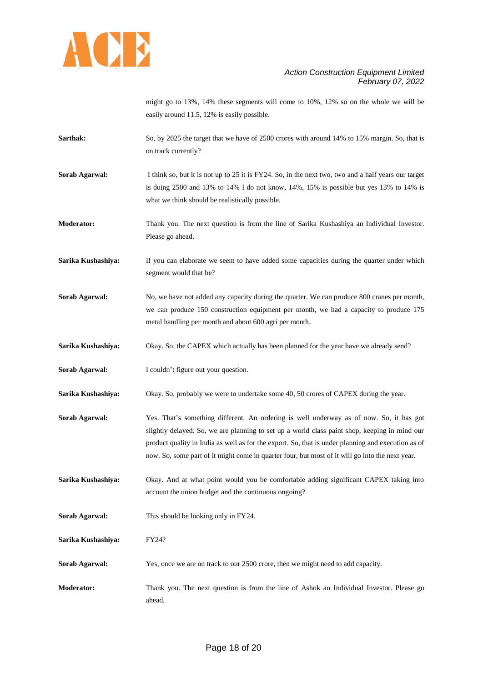

might go to 13%, 14% these segments will come to 10%, 12% so on the whole we will be easily around 11.5, 12% is easily possible.

- **Sarthak:** So, by 2025 the target that we have of 2500 crores with around 14% to 15% margin. So, that is on track currently?
- **Sorab Agarwal:** I think so, but it is not up to 25 it is FY24. So, in the next two, two and a half years our target is doing 2500 and 13% to 14% I do not know, 14%, 15% is possible but yes 13% to 14% is what we think should be realistically possible.
- **Moderator:** Thank you. The next question is from the line of Sarika Kushashiya an Individual Investor. Please go ahead.
- Sarika Kushashiya: If you can elaborate we seem to have added some capacities during the quarter under which segment would that be?
- **Sorab Agarwal:** No, we have not added any capacity during the quarter. We can produce 800 cranes per month, we can produce 150 construction equipment per month, we had a capacity to produce 175 metal handling per month and about 600 agri per month.
- **Sarika Kushashiya:** Okay. So, the CAPEX which actually has been planned for the year have we already send?
- **Sorab Agarwal:** I couldn't figure out your question.
- **Sarika Kushashiya:** Okay. So, probably we were to undertake some 40, 50 crores of CAPEX during the year.
- **Sorab Agarwal:** Yes. That's something different. An ordering is well underway as of now. So, it has got slightly delayed. So, we are planning to set up a world class paint shop, keeping in mind our product quality in India as well as for the export. So, that is under planning and execution as of now. So, some part of it might come in quarter four, but most of it will go into the next year.
- **Sarika Kushashiya:** Okay. And at what point would you be comfortable adding significant CAPEX taking into account the union budget and the continuous ongoing?
- **Sorab Agarwal:** This should be looking only in FY24.
- **Sarika Kushashiya:** FY24?
- **Sorab Agarwal:** Yes, once we are on track to our 2500 crore, then we might need to add capacity.
- **Moderator:** Thank you. The next question is from the line of Ashok an Individual Investor. Please go ahead.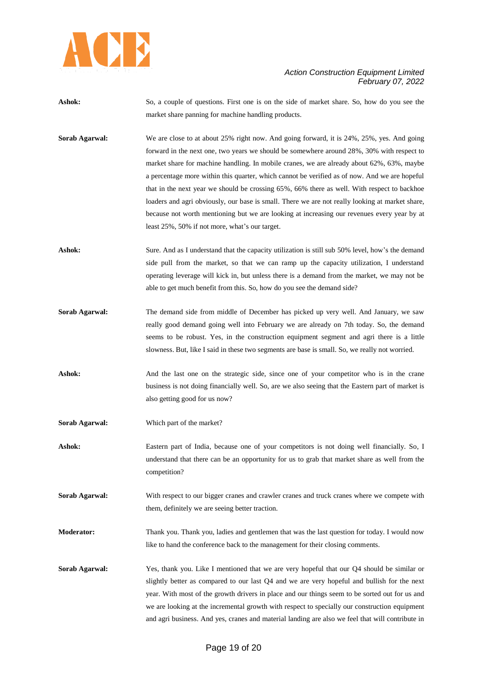

- Ashok: So, a couple of questions. First one is on the side of market share. So, how do you see the market share panning for machine handling products.
- **Sorab Agarwal:** We are close to at about 25% right now. And going forward, it is 24%, 25%, yes. And going forward in the next one, two years we should be somewhere around 28%, 30% with respect to market share for machine handling. In mobile cranes, we are already about 62%, 63%, maybe a percentage more within this quarter, which cannot be verified as of now. And we are hopeful that in the next year we should be crossing 65%, 66% there as well. With respect to backhoe loaders and agri obviously, our base is small. There we are not really looking at market share, because not worth mentioning but we are looking at increasing our revenues every year by at least 25%, 50% if not more, what's our target.
- **Ashok:** Sure. And as I understand that the capacity utilization is still sub 50% level, how's the demand side pull from the market, so that we can ramp up the capacity utilization, I understand operating leverage will kick in, but unless there is a demand from the market, we may not be able to get much benefit from this. So, how do you see the demand side?
- **Sorab Agarwal:** The demand side from middle of December has picked up very well. And January, we saw really good demand going well into February we are already on 7th today. So, the demand seems to be robust. Yes, in the construction equipment segment and agri there is a little slowness. But, like I said in these two segments are base is small. So, we really not worried.
- Ashok: And the last one on the strategic side, since one of your competitor who is in the crane business is not doing financially well. So, are we also seeing that the Eastern part of market is also getting good for us now?
- **Sorab Agarwal:** Which part of the market?
- **Ashok:** Eastern part of India, because one of your competitors is not doing well financially. So, I understand that there can be an opportunity for us to grab that market share as well from the competition?
- **Sorab Agarwal:** With respect to our bigger cranes and crawler cranes and truck cranes where we compete with them, definitely we are seeing better traction.
- **Moderator:** Thank you. Thank you, ladies and gentlemen that was the last question for today. I would now like to hand the conference back to the management for their closing comments.
- **Sorab Agarwal:** Yes, thank you. Like I mentioned that we are very hopeful that our Q4 should be similar or slightly better as compared to our last Q4 and we are very hopeful and bullish for the next year. With most of the growth drivers in place and our things seem to be sorted out for us and we are looking at the incremental growth with respect to specially our construction equipment and agri business. And yes, cranes and material landing are also we feel that will contribute in